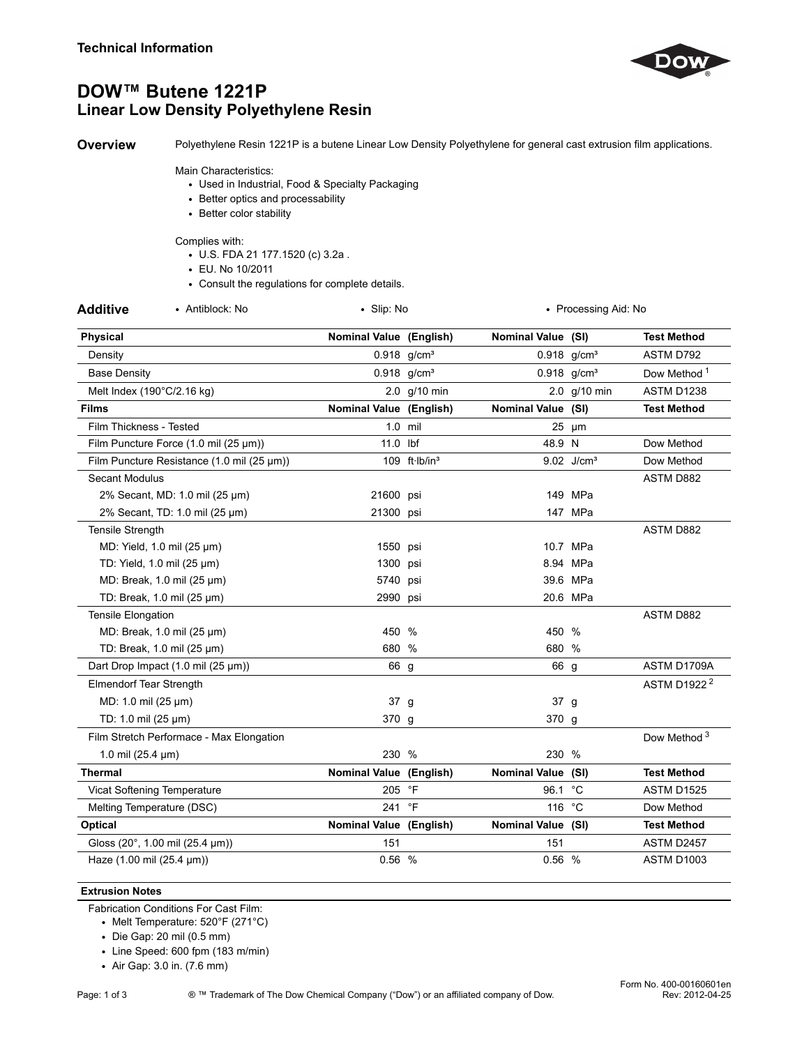

# **DOW™ Butene 1221P Linear Low Density Polyethylene Resin**

**Overview** Polyethylene Resin 1221P is a butene Linear Low Density Polyethylene for general cast extrusion film applications.

#### Main Characteristics:

- Used in Industrial, Food & Specialty Packaging
- Better optics and processability
- Better color stability

## Complies with:

- U.S. FDA 21 177.1520 (c) 3.2a .
- EU. No 10/2011
- Consult the regulations for complete details.

| • Slip: No<br>• Processing Aid: No |  |                                                                                                                                                                                                                                                                                                                                                                                                                    |                                                                                                                                                                                                                                                                                                                                                                           |
|------------------------------------|--|--------------------------------------------------------------------------------------------------------------------------------------------------------------------------------------------------------------------------------------------------------------------------------------------------------------------------------------------------------------------------------------------------------------------|---------------------------------------------------------------------------------------------------------------------------------------------------------------------------------------------------------------------------------------------------------------------------------------------------------------------------------------------------------------------------|
|                                    |  |                                                                                                                                                                                                                                                                                                                                                                                                                    | <b>Test Method</b>                                                                                                                                                                                                                                                                                                                                                        |
|                                    |  |                                                                                                                                                                                                                                                                                                                                                                                                                    | ASTM D792                                                                                                                                                                                                                                                                                                                                                                 |
|                                    |  |                                                                                                                                                                                                                                                                                                                                                                                                                    | Dow Method <sup>1</sup>                                                                                                                                                                                                                                                                                                                                                   |
|                                    |  |                                                                                                                                                                                                                                                                                                                                                                                                                    | ASTM D1238                                                                                                                                                                                                                                                                                                                                                                |
|                                    |  |                                                                                                                                                                                                                                                                                                                                                                                                                    | <b>Test Method</b>                                                                                                                                                                                                                                                                                                                                                        |
|                                    |  |                                                                                                                                                                                                                                                                                                                                                                                                                    |                                                                                                                                                                                                                                                                                                                                                                           |
|                                    |  |                                                                                                                                                                                                                                                                                                                                                                                                                    | Dow Method                                                                                                                                                                                                                                                                                                                                                                |
|                                    |  |                                                                                                                                                                                                                                                                                                                                                                                                                    | Dow Method                                                                                                                                                                                                                                                                                                                                                                |
|                                    |  |                                                                                                                                                                                                                                                                                                                                                                                                                    | ASTM D882                                                                                                                                                                                                                                                                                                                                                                 |
|                                    |  |                                                                                                                                                                                                                                                                                                                                                                                                                    |                                                                                                                                                                                                                                                                                                                                                                           |
|                                    |  |                                                                                                                                                                                                                                                                                                                                                                                                                    |                                                                                                                                                                                                                                                                                                                                                                           |
|                                    |  |                                                                                                                                                                                                                                                                                                                                                                                                                    | ASTM D882                                                                                                                                                                                                                                                                                                                                                                 |
|                                    |  |                                                                                                                                                                                                                                                                                                                                                                                                                    |                                                                                                                                                                                                                                                                                                                                                                           |
|                                    |  |                                                                                                                                                                                                                                                                                                                                                                                                                    |                                                                                                                                                                                                                                                                                                                                                                           |
|                                    |  |                                                                                                                                                                                                                                                                                                                                                                                                                    |                                                                                                                                                                                                                                                                                                                                                                           |
|                                    |  |                                                                                                                                                                                                                                                                                                                                                                                                                    |                                                                                                                                                                                                                                                                                                                                                                           |
|                                    |  |                                                                                                                                                                                                                                                                                                                                                                                                                    | ASTM D882                                                                                                                                                                                                                                                                                                                                                                 |
|                                    |  |                                                                                                                                                                                                                                                                                                                                                                                                                    |                                                                                                                                                                                                                                                                                                                                                                           |
|                                    |  |                                                                                                                                                                                                                                                                                                                                                                                                                    |                                                                                                                                                                                                                                                                                                                                                                           |
|                                    |  |                                                                                                                                                                                                                                                                                                                                                                                                                    | ASTM D1709A                                                                                                                                                                                                                                                                                                                                                               |
|                                    |  |                                                                                                                                                                                                                                                                                                                                                                                                                    | ASTM D1922 <sup>2</sup>                                                                                                                                                                                                                                                                                                                                                   |
|                                    |  |                                                                                                                                                                                                                                                                                                                                                                                                                    |                                                                                                                                                                                                                                                                                                                                                                           |
|                                    |  |                                                                                                                                                                                                                                                                                                                                                                                                                    |                                                                                                                                                                                                                                                                                                                                                                           |
|                                    |  |                                                                                                                                                                                                                                                                                                                                                                                                                    | Dow Method <sup>3</sup>                                                                                                                                                                                                                                                                                                                                                   |
|                                    |  |                                                                                                                                                                                                                                                                                                                                                                                                                    |                                                                                                                                                                                                                                                                                                                                                                           |
|                                    |  |                                                                                                                                                                                                                                                                                                                                                                                                                    | <b>Test Method</b>                                                                                                                                                                                                                                                                                                                                                        |
|                                    |  |                                                                                                                                                                                                                                                                                                                                                                                                                    | ASTM D1525                                                                                                                                                                                                                                                                                                                                                                |
|                                    |  |                                                                                                                                                                                                                                                                                                                                                                                                                    | Dow Method                                                                                                                                                                                                                                                                                                                                                                |
|                                    |  |                                                                                                                                                                                                                                                                                                                                                                                                                    | <b>Test Method</b>                                                                                                                                                                                                                                                                                                                                                        |
| 151                                |  | 151                                                                                                                                                                                                                                                                                                                                                                                                                | ASTM D2457                                                                                                                                                                                                                                                                                                                                                                |
|                                    |  |                                                                                                                                                                                                                                                                                                                                                                                                                    | ASTM D1003                                                                                                                                                                                                                                                                                                                                                                |
|                                    |  | <b>Nominal Value (English)</b><br>$0.918$ g/cm <sup>3</sup><br>$0.918$ g/cm <sup>3</sup><br>2.0 g/10 min<br>Nominal Value (English)<br>$1.0$ mil<br>11.0 lbf<br>109 ft·lb/in <sup>3</sup><br>21600 psi<br>21300 psi<br>1550 psi<br>1300 psi<br>5740 psi<br>2990 psi<br>450 %<br>680 %<br>66 g<br>37 g<br>370 g<br>230 %<br>Nominal Value (English)<br>205 °F<br>241 °F<br><b>Nominal Value (English)</b><br>0.56 % | Nominal Value (SI)<br>$0.918$ g/cm <sup>3</sup><br>$0.918$ g/cm <sup>3</sup><br>2.0 g/10 min<br>Nominal Value (SI)<br>$25 \mu m$<br>48.9 N<br>9.02 J/cm <sup>3</sup><br>149 MPa<br>147 MPa<br>10.7 MPa<br>8.94 MPa<br>39.6 MPa<br>20.6 MPa<br>450 %<br>680 %<br>66 g<br>37 g<br>370 g<br>230 %<br>Nominal Value (SI)<br>96.1 °C<br>116 °C<br>Nominal Value (SI)<br>0.56 % |

## **Extrusion Notes**

Fabrication Conditions For Cast Film:

• Melt Temperature: 520°F (271°C)

• Die Gap: 20 mil (0.5 mm)

• Line Speed: 600 fpm (183 m/min)

• Air Gap: 3.0 in. (7.6 mm)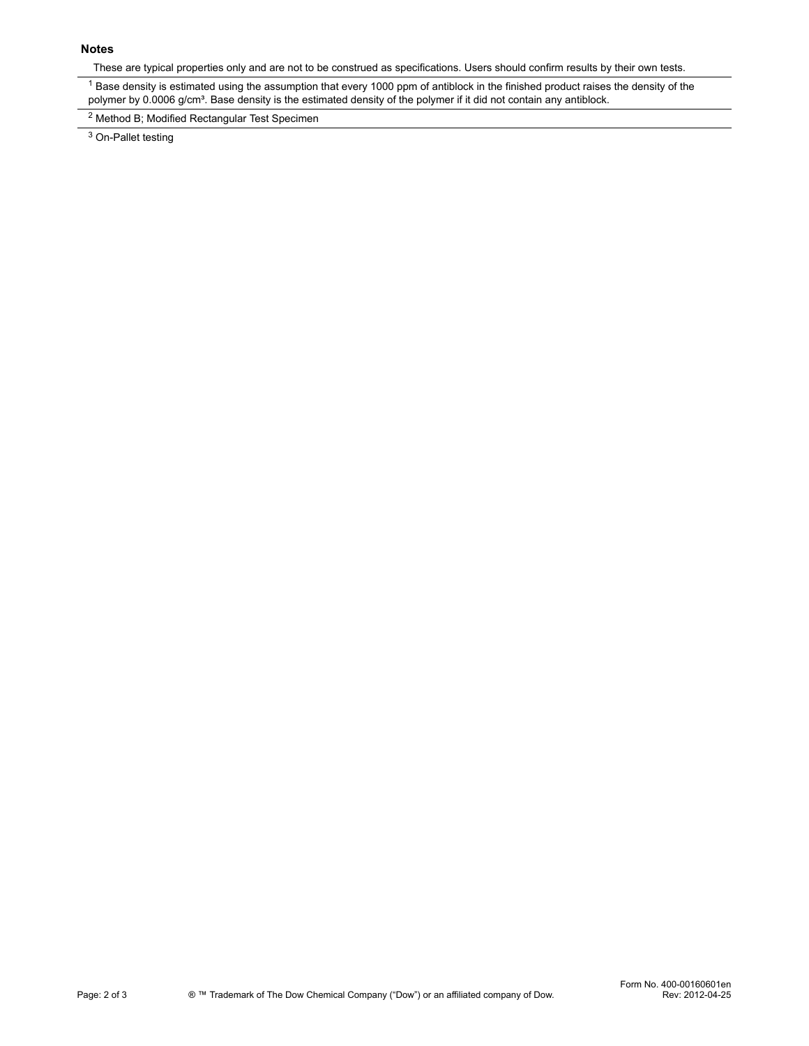### **Notes**

These are typical properties only and are not to be construed as specifications. Users should confirm results by their own tests.

 $1$  Base density is estimated using the assumption that every 1000 ppm of antiblock in the finished product raises the density of the polymer by 0.0006 g/cm<sup>3</sup>. Base density is the estimated density of the polymer if it did not contain any antiblock.

<sup>2</sup> Method B; Modified Rectangular Test Specimen

<sup>3</sup> On-Pallet testing